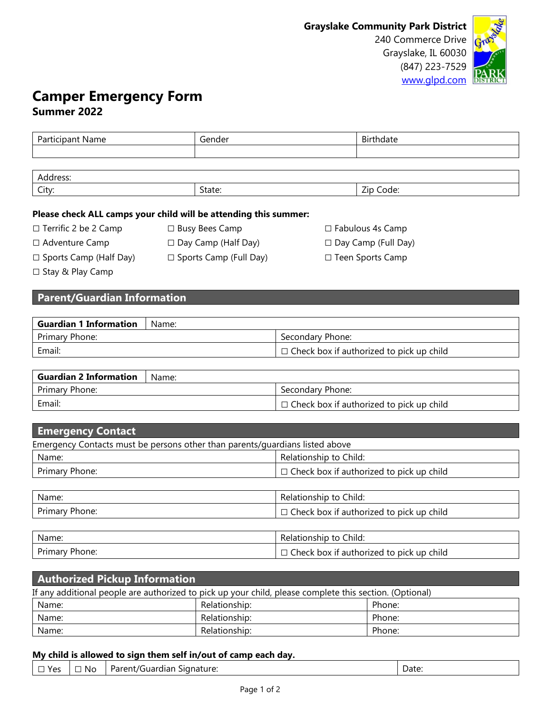

# **Camper Emergency Form Summer 2022**

| Participant Name                   | Gender | Birthdate |
|------------------------------------|--------|-----------|
|                                    |        |           |
|                                    |        |           |
| Address:                           |        |           |
| City:                              | State: | Zip Code: |
| and the second second results.<br> |        |           |

#### **Please check ALL camps your child will be attending this summer:**

| $\Box$ Terrific 2 be 2 Camp   | $\Box$ Busy Bees Camp      | $\Box$ Fabulous 4s Camp    |
|-------------------------------|----------------------------|----------------------------|
| $\Box$ Adventure Camp         | $\Box$ Day Camp (Half Day) | $\Box$ Day Camp (Full Day) |
| $\Box$ Sports Camp (Half Day) | □ Sports Camp (Full Day)   | □ Teen Sports Camp         |

□ Stay & Play Camp

## **Parent/Guardian Information**

| <b>Guardian 1 Information</b> | Name: |                                                 |
|-------------------------------|-------|-------------------------------------------------|
| Primary Phone:                |       | Secondary Phone:                                |
| Email:                        |       | $\Box$ Check box if authorized to pick up child |

| <b>Guardian 2 Information</b> | Name: |                                                 |
|-------------------------------|-------|-------------------------------------------------|
| Primary Phone:                |       | Secondary Phone:                                |
| Email:                        |       | $\Box$ Check box if authorized to pick up child |

| <b>Emergency Contact</b>                                                     |                                                 |  |
|------------------------------------------------------------------------------|-------------------------------------------------|--|
| Emergency Contacts must be persons other than parents/guardians listed above |                                                 |  |
| Name:                                                                        | Relationship to Child:                          |  |
| Primary Phone:                                                               | $\Box$ Check box if authorized to pick up child |  |
|                                                                              |                                                 |  |
| Name:                                                                        | Relationship to Child:                          |  |
| Primary Phone:                                                               | $\Box$ Check box if authorized to pick up child |  |
|                                                                              |                                                 |  |
| Name:                                                                        | Relationship to Child:                          |  |
| Primary Phone:                                                               | $\Box$ Check box if authorized to pick up child |  |

| <b>Authorized Pickup Information</b>                                                                    |               |        |  |
|---------------------------------------------------------------------------------------------------------|---------------|--------|--|
| If any additional people are authorized to pick up your child, please complete this section. (Optional) |               |        |  |
| Name:                                                                                                   | Relationship: | Phone: |  |
| Name:                                                                                                   | Relationship: | Phone: |  |
| Name:                                                                                                   | Relationship: | Phone: |  |

### **My child is allowed to sign them self in/out of camp each day.**

| $\neg$ Yes | $\Box$ No | Signature:<br>Parent/Guardian | Date: |
|------------|-----------|-------------------------------|-------|
|------------|-----------|-------------------------------|-------|